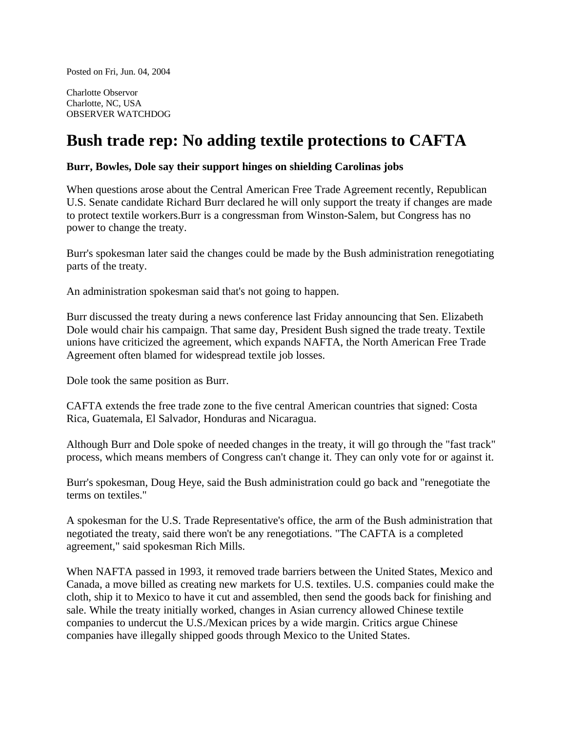Posted on Fri, Jun. 04, 2004

Charlotte Observor Charlotte, NC, USA OBSERVER WATCHDOG

## **Bush trade rep: No adding textile protections to CAFTA**

## **Burr, Bowles, Dole say their support hinges on shielding Carolinas jobs**

When questions arose about the Central American Free Trade Agreement recently, Republican U.S. Senate candidate Richard Burr declared he will only support the treaty if changes are made to protect textile workers.Burr is a congressman from Winston-Salem, but Congress has no power to change the treaty.

Burr's spokesman later said the changes could be made by the Bush administration renegotiating parts of the treaty.

An administration spokesman said that's not going to happen.

Burr discussed the treaty during a news conference last Friday announcing that Sen. Elizabeth Dole would chair his campaign. That same day, President Bush signed the trade treaty. Textile unions have criticized the agreement, which expands NAFTA, the North American Free Trade Agreement often blamed for widespread textile job losses.

Dole took the same position as Burr.

CAFTA extends the free trade zone to the five central American countries that signed: Costa Rica, Guatemala, El Salvador, Honduras and Nicaragua.

Although Burr and Dole spoke of needed changes in the treaty, it will go through the "fast track" process, which means members of Congress can't change it. They can only vote for or against it.

Burr's spokesman, Doug Heye, said the Bush administration could go back and "renegotiate the terms on textiles."

A spokesman for the U.S. Trade Representative's office, the arm of the Bush administration that negotiated the treaty, said there won't be any renegotiations. "The CAFTA is a completed agreement," said spokesman Rich Mills.

When NAFTA passed in 1993, it removed trade barriers between the United States, Mexico and Canada, a move billed as creating new markets for U.S. textiles. U.S. companies could make the cloth, ship it to Mexico to have it cut and assembled, then send the goods back for finishing and sale. While the treaty initially worked, changes in Asian currency allowed Chinese textile companies to undercut the U.S./Mexican prices by a wide margin. Critics argue Chinese companies have illegally shipped goods through Mexico to the United States.